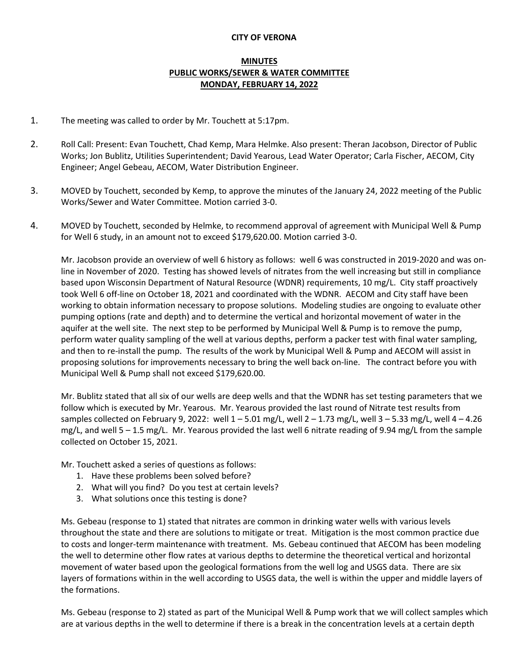## **CITY OF VERONA**

## **MINUTES PUBLIC WORKS/SEWER & WATER COMMITTEE MONDAY, FEBRUARY 14, 2022**

- 1. The meeting was called to order by Mr. Touchett at 5:17pm.
- 2. Roll Call: Present: Evan Touchett, Chad Kemp, Mara Helmke. Also present: Theran Jacobson, Director of Public Works; Jon Bublitz, Utilities Superintendent; David Yearous, Lead Water Operator; Carla Fischer, AECOM, City Engineer; Angel Gebeau, AECOM, Water Distribution Engineer.
- 3. MOVED by Touchett, seconded by Kemp, to approve the minutes of the January 24, 2022 meeting of the Public Works/Sewer and Water Committee. Motion carried 3-0.
- 4. MOVED by Touchett, seconded by Helmke, to recommend approval of agreement with Municipal Well & Pump for Well 6 study, in an amount not to exceed \$179,620.00. Motion carried 3-0.

Mr. Jacobson provide an overview of well 6 history as follows: well 6 was constructed in 2019-2020 and was online in November of 2020. Testing has showed levels of nitrates from the well increasing but still in compliance based upon Wisconsin Department of Natural Resource (WDNR) requirements, 10 mg/L. City staff proactively took Well 6 off-line on October 18, 2021 and coordinated with the WDNR. AECOM and City staff have been working to obtain information necessary to propose solutions. Modeling studies are ongoing to evaluate other pumping options (rate and depth) and to determine the vertical and horizontal movement of water in the aquifer at the well site. The next step to be performed by Municipal Well & Pump is to remove the pump, perform water quality sampling of the well at various depths, perform a packer test with final water sampling, and then to re-install the pump. The results of the work by Municipal Well & Pump and AECOM will assist in proposing solutions for improvements necessary to bring the well back on-line. The contract before you with Municipal Well & Pump shall not exceed \$179,620.00.

Mr. Bublitz stated that all six of our wells are deep wells and that the WDNR has set testing parameters that we follow which is executed by Mr. Yearous. Mr. Yearous provided the last round of Nitrate test results from samples collected on February 9, 2022: well  $1 - 5.01$  mg/L, well  $2 - 1.73$  mg/L, well  $3 - 5.33$  mg/L, well  $4 - 4.26$ mg/L, and well 5 – 1.5 mg/L. Mr. Yearous provided the last well 6 nitrate reading of 9.94 mg/L from the sample collected on October 15, 2021.

Mr. Touchett asked a series of questions as follows:

- 1. Have these problems been solved before?
- 2. What will you find? Do you test at certain levels?
- 3. What solutions once this testing is done?

Ms. Gebeau (response to 1) stated that nitrates are common in drinking water wells with various levels throughout the state and there are solutions to mitigate or treat. Mitigation is the most common practice due to costs and longer-term maintenance with treatment. Ms. Gebeau continued that AECOM has been modeling the well to determine other flow rates at various depths to determine the theoretical vertical and horizontal movement of water based upon the geological formations from the well log and USGS data. There are six layers of formations within in the well according to USGS data, the well is within the upper and middle layers of the formations.

Ms. Gebeau (response to 2) stated as part of the Municipal Well & Pump work that we will collect samples which are at various depths in the well to determine if there is a break in the concentration levels at a certain depth